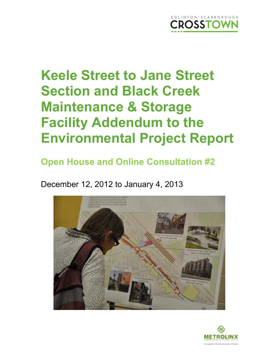

## **Open House and Online Consultation #2**

December 12, 2012 to January 4, 2013



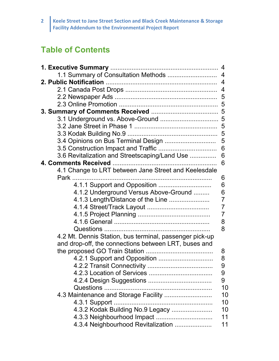### **Table of Contents**

| 1.1 Summary of Consultation Methods  4                  |                |
|---------------------------------------------------------|----------------|
|                                                         |                |
|                                                         |                |
|                                                         |                |
|                                                         |                |
|                                                         |                |
|                                                         |                |
|                                                         |                |
|                                                         |                |
|                                                         |                |
|                                                         | 6              |
| 3.6 Revitalization and Streetscaping/Land Use           | 6              |
|                                                         | 6              |
| 4.1 Change to LRT between Jane Street and Keelesdale    |                |
|                                                         | 6              |
| 4.1.1 Support and Opposition                            | 6              |
| 4.1.2 Underground Versus Above-Ground                   | 6              |
| 4.1.3 Length/Distance of the Line                       | $\overline{7}$ |
|                                                         | $\overline{7}$ |
|                                                         | $\overline{7}$ |
|                                                         | 8              |
|                                                         | 8              |
| 4.2 Mt. Dennis Station, bus terminal, passenger pick-up |                |
| and drop-off, the connections between LRT, buses and    |                |
|                                                         | 8              |
|                                                         | 8              |
|                                                         | 9              |
|                                                         | 9<br>9         |
| Questions                                               | 10             |
| 4.3 Maintenance and Storage Facility                    | 10             |
| 4.3.1 Support.                                          | 10             |
| 4.3.2 Kodak Building No.9 Legacy                        | 10             |
|                                                         | 11             |
|                                                         |                |
| 4.3.4 Neighbourhood Revitalization                      | 11             |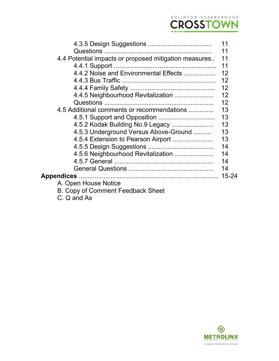

|                                                       | 11 |
|-------------------------------------------------------|----|
|                                                       | 11 |
| 4.4 Potential impacts or proposed mitigation measures | 11 |
| 4.4.1 Support                                         | 11 |
|                                                       |    |
|                                                       | 12 |
|                                                       |    |
|                                                       |    |
|                                                       | 12 |
| 4.5 Additional comments or recommendations            | 13 |
|                                                       | 13 |
| 4.5.2 Kodak Building No.9 Legacy                      | 13 |
| 4.5.3 Underground Versus Above-Ground                 | 13 |
| 4.5.4 Extension to Pearson Airport                    | 13 |
|                                                       | 14 |
|                                                       | 14 |
|                                                       | 14 |
|                                                       | 14 |
|                                                       |    |
| A. Open House Notice                                  |    |
| B. Copy of Comment Feedback Sheet                     |    |
| C. Q and As                                           |    |

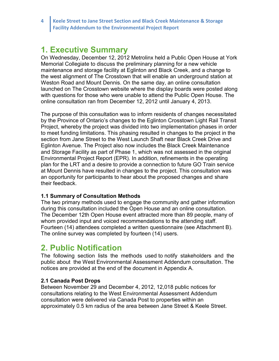### **1. Executive Summary**

On Wednesday, December 12, 2012 Metrolinx held a Public Open House at York Memorial Collegiate to discuss the preliminary planning for a new vehicle maintenance and storage facility at Eglinton and Black Creek, and a change to the west alignment of The Crosstown that will enable an underground station at Weston Road and Mount Dennis. On the same day, an online consultation launched on The Crosstown website where the display boards were posted along with questions for those who were unable to attend the Public Open House. The online consultation ran from December 12, 2012 until January 4, 2013.

The purpose of this consultation was to inform residents of changes necessitated by the Province of Ontario's changes to the Eglinton Crosstown Light Rail Transit Project, whereby the project was divided into two implementation phases in order to meet funding limitations. This phasing resulted in changes to the project in the section from Jane Street to the West Launch Shaft near Black Creek Drive and Eglinton Avenue. The Project also now includes the Black Creek Maintenance and Storage Facility as part of Phase 1, which was not assessed in the original Environmental Project Report (EPR). In addition, refinements in the operating plan for the LRT and a desire to provide a connection to future GO Train service at Mount Dennis have resulted in changes to the project. This consultation was an opportunity for participants to hear about the proposed changes and share their feedback.

#### **1.1 Summary of Consultation Methods**

The two primary methods used to engage the community and gather information during this consultation included the Open House and an online consultation. The December 12th Open House event attracted more than 89 people, many of whom provided input and voiced recommendations to the attending staff. Fourteen (14) attendees completed a written questionnaire (see Attachment B). The online survey was completed by fourteen (14) users.

### **2. Public Notification**

The following section lists the methods used to notify stakeholders and the public about the West Environmental Assessment Addendum consultation. The notices are provided at the end of the document in Appendix A.

#### **2.1 Canada Post Drops**

Between November 29 and December 4, 2012, 12,018 public notices for consultations relating to the West Environmental Assessment Addendum consultation were delivered via Canada Post to properties within an approximately 0.5 km radius of the area between Jane Street & Keele Street.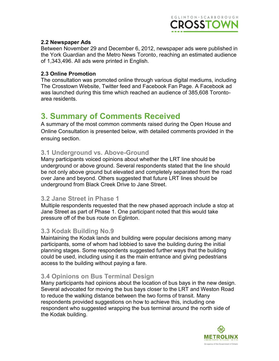

#### **2.2 Newspaper Ads**

Between November 29 and December 6, 2012, newspaper ads were published in the York Guardian and the Metro News Toronto, reaching an estimated audience of 1,343,496. All ads were printed in English.

#### **2.3 Online Promotion**

The consultation was promoted online through various digital mediums, including The Crosstown Website, Twitter feed and Facebook Fan Page. A Facebook ad was launched during this time which reached an audience of 385,608 Toronto area residents.

### **3. Summary of Comments Received**

A summary of the most common comments raised during the Open House and Online Consultation is presented below, with detailed comments provided in the ensuing section.

#### **3.1 Underground vs. Above-Ground**

Many participants voiced opinions about whether the LRT line should be underground or above ground. Several respondents stated that the line should be not only above ground but elevated and completely separated from the road over Jane and beyond. Others suggested that future LRT lines should be underground from Black Creek Drive to Jane Street.

#### **3.2 Jane Street in Phase 1**

Multiple respondents requested that the new phased approach include a stop at Jane Street as part of Phase 1. One participant noted that this would take pressure off of the bus route on Eglinton.

#### **3.3 Kodak Building No.9**

Maintaining the Kodak lands and building were popular decisions among many participants, some of whom had lobbied to save the building during the initial planning stages. Some respondents suggested further ways that the building could be used, including using it as the main entrance and giving pedestrians access to the building without paying a fare.

#### **3.4 Opinions on Bus Terminal Design**

Many participants had opinions about the location of bus bays in the new design. Several advocated for moving the bus bays closer to the LRT and Weston Road to reduce the walking distance between the two forms of transit. Many respondents provided suggestions on how to achieve this, including one respondent who suggested wrapping the bus terminal around the north side of the Kodak building.

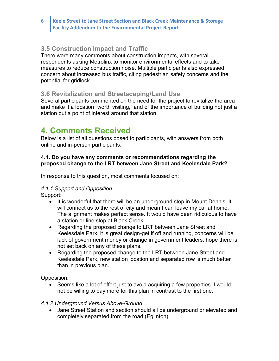#### **3.5 Construction Impact and Traffic**

There were many comments about construction impacts, with several respondents asking Metrolinx to monitor environmental effects and to take measures to reduce construction noise. Multiple participants also expressed concern about increased bus traffic, citing pedestrian safety concerns and the potential for gridlock.

#### **3.6 Revitalization and Streetscaping/Land Use**

Several participants commented on the need for the project to revitalize the area and make it a location "worth visiting," and of the importance of building not just a station but a point of interest around that station.

### **4. Comments Received**

Below is a list of all questions posed to participants, with answers from both online and in-person participants.

#### **4.1. Do you have any comments or recommendations regarding the proposed change to the LRT between Jane Street and Keelesdale Park?**

In response to this question, most comments focused on:

#### *4.1.1 Support and Opposition*

Support:

- It is wonderful that there will be an underground stop in Mount Dennis. It will connect us to the rest of city and mean I can leave my car at home. The alignment makes perfect sense. It would have been ridiculous to have a station or line stop at Black Creek.
- Regarding the proposed change to LRT between Jane Street and Keelesdale Park, it is great design-get if off and running, concerns will be lack of government money or change in government leaders, hope there is not set back on any of these plans.
- Regarding the proposed change to the LRT between Jane Street and Keelesdale Park, new station location and separated row is much better than in previous plan.

Opposition:

• Seems like a lot of effort just to avoid acquiring a few properties. I would not be willing to pay more for this plan in contrast to the first one.

#### *4.1.2 Underground Versus Above-Ground*

 Jane Street Station and section should all be underground or elevated and completely separated from the road (Eglinton).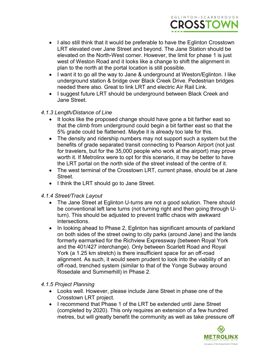

- I also still think that it would be preferable to have the Eglinton Crosstown LRT elevated over Jane Street and beyond. The Jane Station should be elevated on the North-West corner. However, the limit for phase 1 is just west of Weston Road and it looks like a change to shift the alignment in plan to the north at the portal location is still possible.
- I want it to go all the way to Jane & underground at Weston/Eglinton. I like underground station & bridge over Black Creek Drive. Pedestrian bridges needed there also. Great to link LRT and electric Air Rail Link.
- I suggest future LRT should be underground between Black Creek and Jane Street.

#### *4.1.3 Length/Distance of Line*

- It looks like the proposed change should have gone a bit farther east so that the climb from underground could begin a bit farther east so that the 5% grade could be flattened. Maybe it is already too late for this.
- The density and ridership numbers may not support such a system but the benefits of grade separated transit connecting to Pearson Airport (not just for travelers, but for the 35,000 people who work at the airport) may prove worth it. If Metrolinx were to opt for this scenario, it may be better to have the LRT portal on the north side of the street instead of the centre of it.
- The west terminal of the Crosstown LRT, current phase, should be at Jane Street.
- I think the LRT should go to Jane Street.

#### *4.1.4 Street/Track Layout*

- The Jane Street at Eglinton U-turns are not a good solution. There should be conventional left lane turns (not turning right and then going through Uturn). This should be adjusted to prevent traffic chaos with awkward intersections.
- In looking ahead to Phase 2, Eglinton has significant amounts of parkland on both sides of the street owing to city parks (around Jane) and the lands formerly earmarked for the Richview Expressway (between Royal York and the 401/427 interchange). Only between Scarlett Road and Royal York (a 1.25 km stretch) is there insufficient space for an off-road alignment. As such, it would seem prudent to look into the viability of an off-road, trenched system (similar to that of the Yonge Subway around Rosedale and Summerhill) in Phase 2.

#### *4.1.5 Project Planning*

- Looks well. However, please include Jane Street in phase one of the Crosstown LRT project.
- I recommend that Phase 1 of the LRT be extended until Jane Street (completed by 2020). This only requires an extension of a few hundred metres, but will greatly benefit the community as well as take pressure off

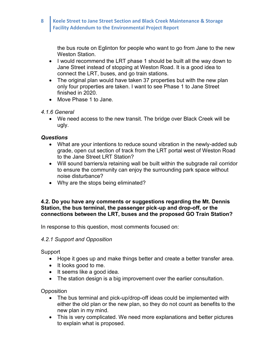the bus route on Eglinton for people who want to go from Jane to the new Weston Station.

- I would recommend the LRT phase 1 should be built all the way down to Jane Street instead of stopping at Weston Road. It is a good idea to connect the LRT, buses, and go train stations.
- The original plan would have taken 37 properties but with the new plan only four properties are taken. I want to see Phase 1 to Jane Street finished in 2020.
- Move Phase 1 to Jane.

#### *4.1.6 General*

 We need access to the new transit. The bridge over Black Creek will be ugly.

#### *Questions*

- What are your intentions to reduce sound vibration in the newly-added sub grade, open cut section of track from the LRT portal west of Weston Road to the Jane Street LRT Station?
- Will sound barriers/a retaining wall be built within the subgrade rail corridor to ensure the community can enjoy the surrounding park space without noise disturbance?
- Why are the stops being eliminated?

#### **4.2. Do you have any comments or suggestions regarding the Mt. Dennis Station, the bus terminal, the passenger pick-up and drop-off, or the connections between the LRT, buses and the proposed GO Train Station?**

In response to this question, most comments focused on:

#### *4.2.1 Support and Opposition*

Support

- Hope it goes up and make things better and create a better transfer area.
- It looks good to me.
- It seems like a good idea.
- The station design is a big improvement over the earlier consultation.

**Opposition** 

- The bus terminal and pick-up/drop-off ideas could be implemented with either the old plan or the new plan, so they do not count as benefits to the new plan in my mind.
- This is very complicated. We need more explanations and better pictures to explain what is proposed.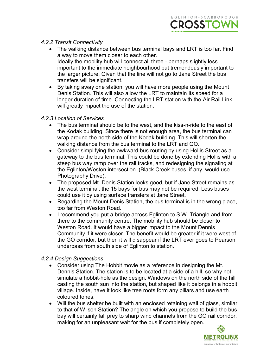

#### *4.2.2 Transit Connectivity*

- The walking distance between bus terminal bays and LRT is too far. Find a way to move them closer to each other. Ideally the mobility hub will connect all three - perhaps slightly less important to the immediate neighbourhood but tremendously important to the larger picture. Given that the line will not go to Jane Street the bus transfers will be significant.
- By taking away one station, you will have more people using the Mount Denis Station. This will also allow the LRT to maintain its speed for a longer duration of time. Connecting the LRT station with the Air Rail Link will greatly impact the use of the station.

#### *4.2.3 Location of Services*

- The bus terminal should be to the west, and the kiss-n-ride to the east of the Kodak building. Since there is not enough area, the bus terminal can wrap around the north side of the Kodak building. This will shorten the walking distance from the bus terminal to the LRT and GO.
- Consider simplifying the awkward bus routing by using Hollis Street as a gateway to the bus terminal. This could be done by extending Hollis with a steep bus way ramp over the rail tracks, and redesigning the signaling at the Eglinton/Weston intersection. (Black Creek buses, if any, would use Photography Drive).
- The proposed Mt. Denis Station looks good, but if Jane Street remains as the west terminal, the 15 bays for bus may not be required. Less buses could use it by using surface transfers at Jane Street.
- Regarding the Mount Denis Station, the bus terminal is in the wrong place, too far from Weston Road.
- I recommend you put a bridge across Eglinton to S.W. Triangle and from there to the community centre. The mobility hub should be closer to Weston Road. It would have a bigger impact to the Mount Dennis Community if it were closer. The benefit would be greater if it were west of the GO corridor, but then it will disappear if the LRT ever goes to Pearson underpass from south side of Eglinton to station.

#### *4.2.4 Design Suggestions*

- Consider using The Hobbit movie as a reference in designing the Mt. Dennis Station. The station is to be located at a side of a hill, so why not simulate a hobbit-hole as the design. Windows on the north side of the hill casting the south sun into the station, but shaped like it belongs in a hobbit village. Inside, have it look like tree roots form any pillars and use earth coloured tones.
- Will the bus shelter be built with an enclosed retaining wall of glass, similar to that of Wilson Station? The angle on which you propose to build the bus bay will certainly fall prey to sharp wind channels from the GO rail corridor, making for an unpleasant wait for the bus if completely open.

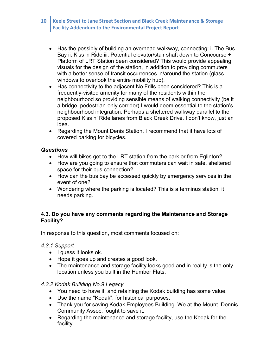- Has the possibly of building an overhead walkway, connecting: i. The Bus Bay ii. Kiss 'n Ride iii. Potential elevator/stair shaft down to Concourse + Platform of LRT Station been considered? This would provide appealing visuals for the design of the station, in addition to providing commuters with a better sense of transit occurrences in/around the station (glass) windows to overlook the entire mobility hub).
- Has connectivity to the adjacent No Frills been considered? This is a frequently-visited amenity for many of the residents within the neighbourhood so providing sensible means of walking connectivity (be it a bridge, pedestrian-only corridor) I would deem essential to the station's neighbourhood integration. Perhaps a sheltered walkway parallel to the proposed Kiss n' Ride lanes from Black Creek Drive. I don't know, just an idea.
- Regarding the Mount Denis Station, I recommend that it have lots of covered parking for bicycles.

#### *Questions*

- How will bikes get to the LRT station from the park or from Eglinton?
- How are you going to ensure that commuters can wait in safe, sheltered space for their bus connection?
- How can the bus bay be accessed quickly by emergency services in the event of one?
- Wondering where the parking is located? This is a terminus station, it needs parking.

#### **4.3. Do you have any comments regarding the Maintenance and Storage Facility?**

In response to this question, most comments focused on:

#### *4.3.1 Support*

- $\bullet$  I guess it looks ok.
- Hope it goes up and creates a good look.
- The maintenance and storage facility looks good and in reality is the only location unless you built in the Humber Flats.

#### *4.3.2 Kodak Building No.9 Legacy*

- You need to have it, and retaining the Kodak building has some value.
- Use the name "Kodak", for historical purposes.
- Thank you for saving Kodak Employees Building. We at the Mount. Dennis Community Assoc. fought to save it.
- Regarding the maintenance and storage facility, use the Kodak for the facility.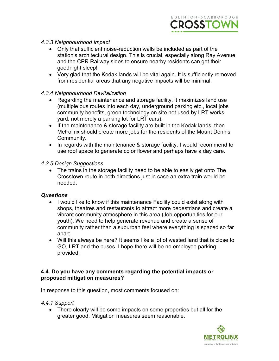

#### *4.3.3 Neighbourhood Impact*

- Only that sufficient noise-reduction walls be included as part of the station's architectural design. This is crucial, especially along Ray Avenue and the CPR Railway sides to ensure nearby residents can get their goodnight sleep!
- Very glad that the Kodak lands will be vital again. It is sufficiently removed from residential areas that any negative impacts will be minimal.

#### *4.3.4 Neighbourhood Revitalization*

- Regarding the maintenance and storage facility, it maximizes land use (multiple bus routes into each day, underground parking etc., local jobs community benefits, green technology on site not used by LRT works yard, not merely a parking lot for LRT cars).
- If the maintenance & storage facility are built in the Kodak lands, then Metrolinx should create more jobs for the residents of the Mount Dennis Community.
- In regards with the maintenance & storage facility, I would recommend to use roof space to generate color flower and perhaps have a day care.

#### *4.3.5 Design Suggestions*

• The trains in the storage facility need to be able to easily get onto The Crosstown route in both directions just in case an extra train would be needed.

#### *Questions*

- I would like to know if this maintenance Facility could exist along with shops, theatres and restaurants to attract more pedestrians and create a vibrant community atmosphere in this area (Job opportunities for our youth). We need to help generate revenue and create a sense of community rather than a suburban feel where everything is spaced so far apart.
- Will this always be here? It seems like a lot of wasted land that is close to GO, LRT and the buses. I hope there will be no employee parking provided.

#### **4.4. Do you have any comments regarding the potential impacts or proposed mitigation measures?**

In response to this question, most comments focused on:

- *4.4.1 Support*
	- There clearly will be some impacts on some properties but all for the greater good. Mitigation measures seem reasonable.

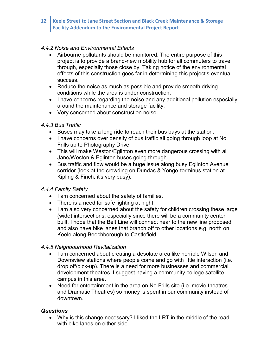#### *4.4.2 Noise and Environmental Effects*

- Airbourne pollutants should be monitored. The entire purpose of this project is to provide a brand-new mobility hub for all commuters to travel through, especially those close by. Taking notice of the environmental effects of this construction goes far in determining this project's eventual success.
- Reduce the noise as much as possible and provide smooth driving conditions while the area is under construction.
- I have concerns regarding the noise and any additional pollution especially around the maintenance and storage facility.
- Very concerned about construction noise.

#### *4.4.3 Bus Traffic*

- Buses may take a long ride to reach their bus bays at the station.
- I have concerns over density of bus traffic all going through loop at No Frills up to Photography Drive.
- This will make Weston/Eglinton even more dangerous crossing with all Jane/Weston & Eglinton buses going through.
- Bus traffic and flow would be a huge issue along busy Eglinton Avenue corridor (look at the crowding on Dundas & Yonge-terminus station at Kipling & Finch, it's very busy).

#### *4.4.4 Family Safety*

- I am concerned about the safety of families.
- There is a need for safe lighting at night.
- I am also very concerned about the safety for children crossing these large (wide) intersections, especially since there will be a community center built. I hope that the Belt Line will connect near to the new line proposed and also have bike lanes that branch off to other locations e.g. north on Keele along Beechborough to Castlefield.

#### *4.4.5 Neighbourhood Revitalization*

- I am concerned about creating a desolate area like horrible Wilson and Downsview stations where people come and go with little interaction (i.e. drop off/pick-up). There is a need for more businesses and commercial development theatres. I suggest having a community college satellite campus in this area.
- Need for entertainment in the area on No Frills site (i.e. movie theatres and Dramatic Theatres) so money is spent in our community instead of downtown.

#### *Questions*

 Why is this change necessary? I liked the LRT in the middle of the road with bike lanes on either side.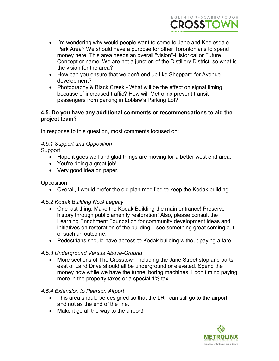

- I'm wondering why would people want to come to Jane and Keelesdale Park Area? We should have a purpose for other Torontonians to spend money here. This area needs an overall "vision"-Historical or Future Concept or name. We are not a junction of the Distillery District, so what is the vision for the area?
- How can you ensure that we don't end up like Sheppard for Avenue development?
- Photography & Black Creek What will be the effect on signal timing because of increased traffic? How will Metrolinx prevent transit passengers from parking in Loblaw's Parking Lot?

#### **4.5. Do you have any additional comments or recommendations to aid the project team?**

In response to this question, most comments focused on:

#### *4.5.1 Support and Opposition*

**Support** 

- Hope it goes well and glad things are moving for a better west end area.
- You're doing a great job!
- Very good idea on paper.

#### **Opposition**

Overall, I would prefer the old plan modified to keep the Kodak building.

#### *4.5.2 Kodak Building No.9 Legacy*

- One last thing. Make the Kodak Building the main entrance! Preserve history through public amenity restoration! Also, please consult the Learning Enrichment Foundation for community development ideas and initiatives on restoration of the building. I see something great coming out of such an outcome.
- Pedestrians should have access to Kodak building without paying a fare.

#### *4.5.3 Underground Versus Above-Ground*

 More sections of The Crosstown including the Jane Street stop and parts east of Laird Drive should all be underground or elevated. Spend the money now while we have the tunnel boring machines. I don't mind paying more in the property taxes or a special 1% tax.

#### *4.5.4 Extension to Pearson Airport*

- This area should be designed so that the LRT can still go to the airport, and not as the end of the line.
- Make it go all the way to the airport!

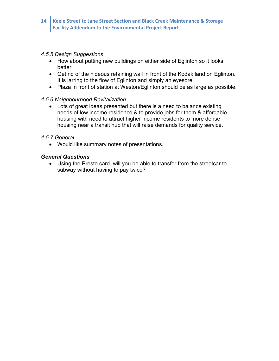#### *4.5.5 Design Suggestions*

- How about putting new buildings on either side of Eglinton so it looks better.
- Get rid of the hideous retaining wall in front of the Kodak land on Eglinton. It is jarring to the flow of Eglinton and simply an eyesore.
- Plaza in front of station at Weston/Eglinton should be as large as possible.

#### *4.5.6 Neighbourhood Revitalization*

 Lots of great ideas presented but there is a need to balance existing needs of low income residence & to provide jobs for them & affordable housing with need to attract higher income residents to more dense housing near a transit hub that will raise demands for quality service.

#### *4.5.7 General*

Would like summary notes of presentations.

#### *General Questions*

 Using the Presto card, will you be able to transfer from the streetcar to subway without having to pay twice?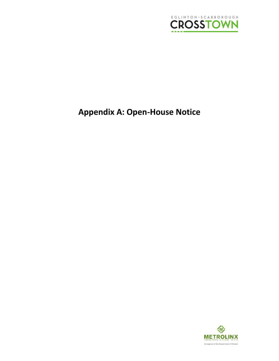

## **Appendix A: Open-House Notice**

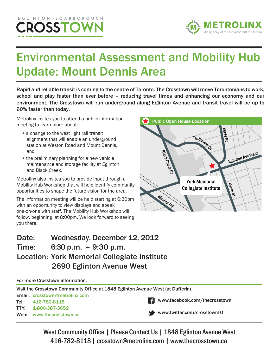## EGLINTON-SCARBOROUGH CROSSTOV



# Environmental Assessment and Mobility Hub Update: Mount Dennis Area

Rapid and reliable transit is coming to the centre of Toronto. The Crosstown will move Torontonians to work, school and play faster than ever before – reducing travel times and enhancing our economy and our environment. The Crosstown will run underground along Eglinton Avenue and transit travel will be up to 60% faster than today.

Metrolinx invites you to attend a public information meeting to learn more about:

- a change to the west light rail transit alignment that will enable an underground station at Weston Road and Mount Dennis, and
- the preliminary planning for a new vehicle maintenance and storage facility at Eglinton and Black Creek.

Metrolinx also invites you to provide input through a Mobility Hub Workshop that will help identify community opportunities to shape the future vision for the area.

The information meeting will be held starting at 6:30pm with an opportunity to view displays and speak one-on-one with staff. The Mobility Hub Workshop will follow, beginning at 8:00pm. We look forward to seeing you there.



### – 9:30 p.m. Time: 6:30 p.m. Date: Wednesday, December 12, 2012 Location: York Memorial Collegiate Institute 2690 Eglinton Avenue West

For more Crosstown information:

| Visit the Crosstown Community Office at 1848 Eglinton Avenue West (at Dufferin) |                                       |  |                                        |  |  |
|---------------------------------------------------------------------------------|---------------------------------------|--|----------------------------------------|--|--|
|                                                                                 | <b>Email: crosstown@metrolinx.com</b> |  |                                        |  |  |
|                                                                                 | Tel: 416-782-8118                     |  | <b>F</b> www.facebook.com/thecrosstown |  |  |
|                                                                                 | TTY: 1-800-387-3652                   |  |                                        |  |  |
|                                                                                 | Web: www.thecrosstown.ca              |  | www.twitter.com/crosstownTO            |  |  |
|                                                                                 |                                       |  |                                        |  |  |

West Community Office | Please Contact Us | 1848 Eglinton Avenue West 416-782-8118| crosstown@metrolinx.com | www.thecrosstown.ca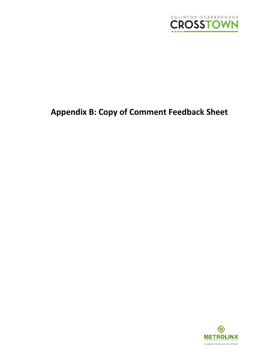

## **Appendix B: Copy of Comment Feedback Sheet**

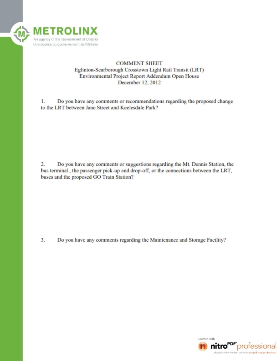

#### **COMMENT SHEET** Eglinton-Scarborough Crosstown Light Rail Transit (LRT) Environmental Project Report Addendum Open House December 12, 2012

1. Do you have any comments or recommendations regarding the proposed change to the LRT between Jane Street and Keelesdale Park?

 $2.$ Do you have any comments or suggestions regarding the Mt. Dennis Station, the bus terminal, the passenger pick-up and drop-off, or the connections between the LRT, buses and the proposed GO Train Station?

Do you have any comments regarding the Maintenance and Storage Facility? 3.

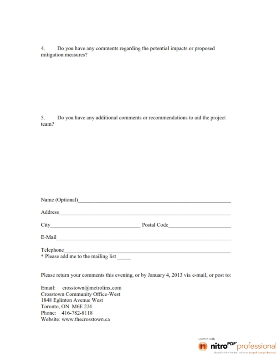Do you have any comments regarding the potential impacts or proposed 4. mitigation measures?

5. Do you have any additional comments or recommendations to aid the project team?

| Name (Optional)                     |             |  |
|-------------------------------------|-------------|--|
| Address                             |             |  |
| City                                | Postal Code |  |
| E-Mail                              |             |  |
| Telephone                           |             |  |
| * Please add me to the mailing list |             |  |

Please return your comments this evening, or by January 4, 2013 via e-mail, or post to:

Email: crosstown@metrolinx.com **Crosstown Community Office-West** 1848 Eglinton Avenue West Toronto, ON M6E 2J4 Phone: 416-782-8118 Website: www.thecrosstown.ca

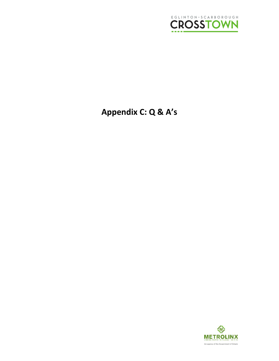

## **Appendix C: Q & A's**

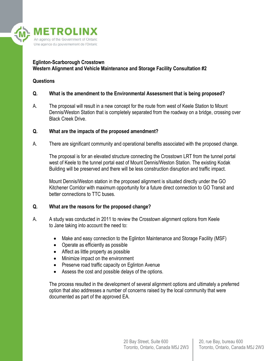

#### **Eglinton-Scarborough Crosstown Western Alignment and Vehicle Maintenance and Storage Facility Consultation #2**

#### **Questions**

#### **Q. What is the amendment to the Environmental Assessment that is being proposed?**

A. The proposal will result in a new concept for the route from west of Keele Station to Mount Dennis/Weston Station that is completely separated from the roadway on a bridge, crossing over Black Creek Drive.

#### **Q. What are the impacts of the proposed amendment?**

A. There are significant community and operational benefits associated with the proposed change.

The proposal is for an elevated structure connecting the Crosstown LRT from the tunnel portal west of Keele to the tunnel portal east of Mount Dennis/Weston Station. The existing Kodak Building will be preserved and there will be less construction disruption and traffic impact.

Mount Dennis/Weston station in the proposed alignment is situated directly under the GO Kitchener Corridor with maximum opportunity for a future direct connection to GO Transit and better connections to TTC buses.

#### **Q. What are the reasons for the proposed change?**

- A. A study was conducted in 2011 to review the Crosstown alignment options from Keele to Jane taking into account the need to:
	- Make and easy connection to the Eglinton Maintenance and Storage Facility (MSF)
	- Operate as efficiently as possible
	- Affect as little property as possible
	- Minimize impact on the environment
	- Preserve road traffic capacity on Eglinton Avenue
	- Assess the cost and possible delays of the options.

The process resulted in the development of several alignment options and ultimately a preferred option that also addresses a number of concerns raised by the local community that were documented as part of the approved EA.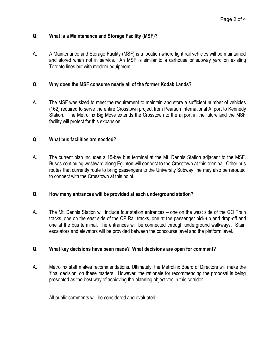#### **Q. What is a Maintenance and Storage Facility (MSF)?**

A. A Maintenance and Storage Facility (MSF) is a location where light rail vehicles will be maintained and stored when not in service. An MSF is similar to a carhouse or subway yard on existing Toronto lines but with modern equipment.

#### **Q. Why does the MSF consume nearly all of the former Kodak Lands?**

A. The MSF was sized to meet the requirement to maintain and store a sufficient number of vehicles (162) required to serve the entire Crosstown project from Pearson International Airport to Kennedy Station. The Metrolinx Big Move extends the Crosstown to the airport in the future and the MSF facility will protect for this expansion.

#### **Q. What bus facilities are needed?**

A. The current plan includes a 15-bay bus terminal at the Mt. Dennis Station adjacent to the MSF. Buses continuing westward along Eglinton will connect to the Crosstown at this terminal. Other bus routes that currently route to bring passengers to the University Subway line may also be rerouted to connect with the Crosstown at this point.

#### **Q. How many entrances will be provided at each underground station?**

A. The Mt. Dennis Station will include four station entrances – one on the west side of the GO Train tracks, one on the east side of the CP Rail tracks, one at the passenger pick-up and drop-off and one at the bus terminal. The entrances will be connected through underground walkways. Stair, escalators and elevators will be provided between the concourse level and the platform level.

#### **Q. What key decisions have been made? What decisions are open for comment?**

A. Metrolinx staff makes recommendations. Ultimately, the Metrolinx Board of Directors will make the 'final decision' on these matters. However, the rationale for recommending the proposal is being presented as the best way of achieving the planning objectives in this corridor.

All public comments will be considered and evaluated.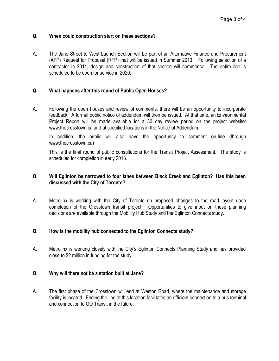#### **Q. When could construction start on these sections?**

A. The Jane Street to West Launch Section will be part of an Alternative Finance and Procurement (AFP) Request for Proposal (RFP) that will be issued in Summer 2013. Following selection of a contractor in 2014, design and construction of that section will commence. The entire line is scheduled to be open for service in 2020.

#### **Q. What happens after this round of Public Open Houses?**

A. Following the open houses and review of comments, there will be an opportunity to incorporate feedback. A formal public notice of addendum will then be issued. At that time, an Environmental Project Report will be made available for a 30 day review period on the project website: www.thecrosstown.ca and at specified locations in the Notice of Addendum.

In addition, the public will also have the opportunity to comment on-line (through www.thecrosstown.ca)

This is the final round of public consultations for the Transit Project Assessment. The study is scheduled for completion in early 2013.

#### **Q. Will Eglinton be narrowed to four lanes between Black Creek and Eglinton? Has this been discussed with the City of Toronto?**

A. Metrolinx is working with the City of Toronto on proposed changes to the road layout upon completion of the Crosstown transit project. Opportunities to give input on these planning decisions are available through the Mobility Hub Study and the Eglinton Connects study.

#### **Q. How is the mobility hub connected to the Eglinton Connects study?**

A. Metrolinx is working closely with the City's Eglinton Connects Planning Study and has provided close to \$2 million in funding for the study.

#### **Q. Why will there not be a station built at Jane?**

A. The first phase of the Crosstown will end at Weston Road, where the maintenance and storage facility is located. Ending the line at this location facilitates an efficient connection to a bus terminal and connection to GO Transit in the future.